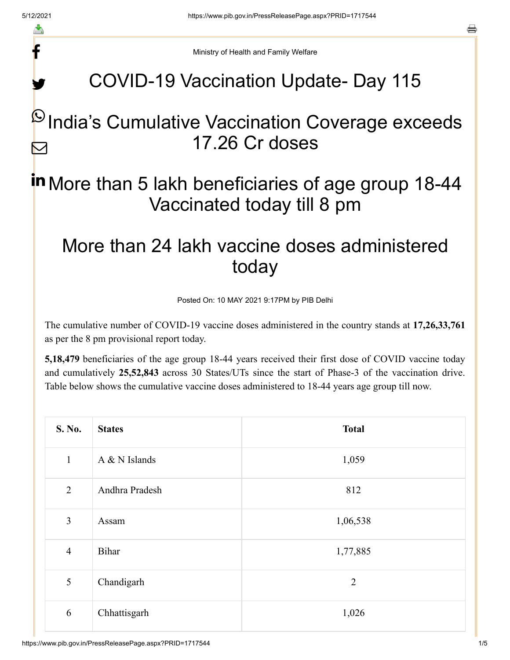f

y.

a

Ministry of Health and Family Welfare

# COVID-19 Vaccination Update- Day 115

#### $\mathsf P$ India's Cumulative Vaccination Coverage exceeds 17.26 Cr doses M

## in More than 5 lakh beneficiaries of age group 18-44 Vaccinated today till 8 pm

### More than 24 lakh vaccine doses administered today

Posted On: 10 MAY 2021 9:17PM by PIB Delhi

The cumulative number of COVID-19 vaccine doses administered in the country stands at **17,26,33,761** as per the 8 pm provisional report today.

**5,18,479** beneficiaries of the age group 18-44 years received their first dose of COVID vaccine today and cumulatively **25,52,843** across 30 States/UTs since the start of Phase-3 of the vaccination drive. Table below shows the cumulative vaccine doses administered to 18-44 years age group till now.

| S. No.         | <b>States</b>  | <b>Total</b>   |
|----------------|----------------|----------------|
| $\mathbf{1}$   | A & N Islands  | 1,059          |
| $\overline{2}$ | Andhra Pradesh | 812            |
| $\overline{3}$ | Assam          | 1,06,538       |
| $\overline{4}$ | <b>Bihar</b>   | 1,77,885       |
| 5              | Chandigarh     | $\overline{2}$ |
| 6              | Chhattisgarh   | 1,026          |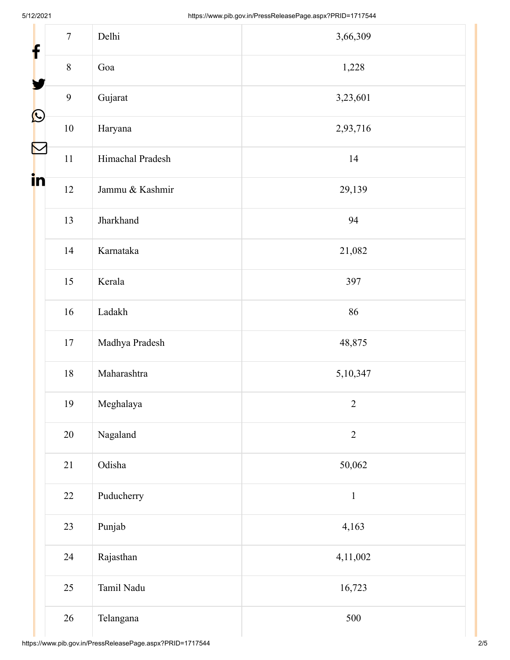| $\tau$<br>f                     | Delhi            | 3,66,309       |  |
|---------------------------------|------------------|----------------|--|
| $8\,$                           | Goa              | 1,228          |  |
| 9                               | Gujarat          | 3,23,601       |  |
| $\bigcirc$<br>$10\,$            | Haryana          | 2,93,716       |  |
| $\blacktriangleright$<br>$11\,$ | Himachal Pradesh | 14             |  |
| in<br>12                        | Jammu & Kashmir  | 29,139         |  |
| 13                              | Jharkhand        | 94             |  |
| 14                              | Karnataka        | 21,082         |  |
| 15                              | Kerala           | 397            |  |
| 16                              | Ladakh           | 86             |  |
| 17                              | Madhya Pradesh   | 48,875         |  |
| $18\,$                          | Maharashtra      | 5,10,347       |  |
| 19                              | Meghalaya        | $\overline{2}$ |  |
| 20                              | Nagaland         | $\overline{2}$ |  |
| 21                              | Odisha           | 50,062         |  |
| 22                              | Puducherry       | $1\,$          |  |
| 23                              | Punjab           | 4,163          |  |
| 24                              | Rajasthan        | 4,11,002       |  |
| 25                              | Tamil Nadu       | 16,723         |  |
| 26                              | Telangana        | 500            |  |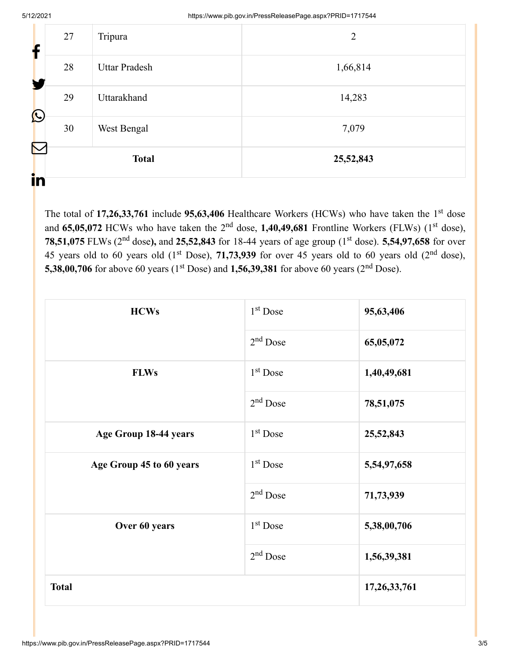| $\sum$<br>in | <b>Total</b> |                      | 25,52,843      |
|--------------|--------------|----------------------|----------------|
| C            | 30           | West Bengal          | 7,079          |
|              | 29           | Uttarakhand          | 14,283         |
|              | 28           | <b>Uttar Pradesh</b> | 1,66,814       |
|              | 27           | Tripura              | $\overline{2}$ |

The total of 17,26,33,761 include 95,63,406 Healthcare Workers (HCWs) who have taken the 1<sup>st</sup> dose and 65,05,072 HCWs who have taken the 2<sup>nd</sup> dose, 1,40,49,681 Frontline Workers (FLWs) (1<sup>st</sup> dose), **78,51,075** FLWs (2<sup>nd</sup> dose), and 25,52,843 for 18-44 years of age group (1<sup>st</sup> dose). 5,54,97,658 for over 45 years old to 60 years old  $(1<sup>st</sup> Does), 71,73,939$  for over 45 years old to 60 years old  $(2<sup>nd</sup> dose),$ **5,38,00,706** for above 60 years (1<sup>st</sup> Dose) and **1,56,39,381** for above 60 years (2<sup>nd</sup> Dose).

| <b>HCWs</b>              | $1st$ Dose           | 95,63,406    |
|--------------------------|----------------------|--------------|
|                          | $2nd$ Dose           | 65,05,072    |
| <b>FLWs</b>              | 1 <sup>st</sup> Dose | 1,40,49,681  |
|                          | $2nd$ Dose           | 78,51,075    |
| Age Group 18-44 years    | $1st$ Dose           | 25,52,843    |
| Age Group 45 to 60 years | $1st$ Dose           | 5,54,97,658  |
|                          | $2nd$ Dose           | 71,73,939    |
| Over 60 years            | 1 <sup>st</sup> Dose | 5,38,00,706  |
|                          | $2nd$ Dose           | 1,56,39,381  |
| <b>Total</b>             |                      | 17,26,33,761 |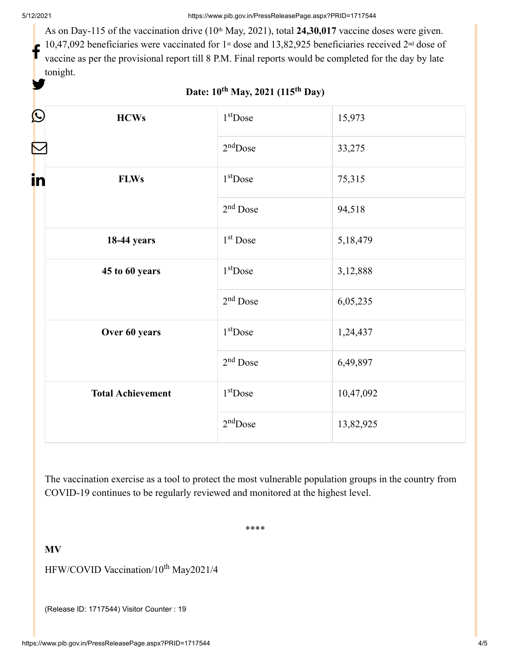As on Day-115 of the vaccination drive (10<sup>th</sup> May, 2021), total 24,30,017 vaccine doses were given. 10,47,092 beneficiaries were vaccinated for 1<sup>st</sup> dose and 13,82,925 beneficiaries received 2<sup>nd</sup> dose of vaccine as per the provisional report till 8 P.M. Final reports would be completed for the day by late tonight. f y.

| Ŀ<br><b>HCWs</b>         | $1st$ Dose           | 15,973    |
|--------------------------|----------------------|-----------|
|                          | $2nd$ Dose           | 33,275    |
| in<br><b>FLWs</b>        | $1st$ Dose           | 75,315    |
|                          | $2nd$ Dose           | 94,518    |
| 18-44 years              | 1 <sup>st</sup> Dose | 5,18,479  |
| 45 to 60 years           | $1st$ Dose           | 3,12,888  |
|                          | $2nd$ Dose           | 6,05,235  |
| Over 60 years            | $1st$ Dose           | 1,24,437  |
|                          | $2nd$ Dose           | 6,49,897  |
| <b>Total Achievement</b> | $1st$ Dose           | 10,47,092 |
|                          | $2nd$ Dose           | 13,82,925 |

#### **Date: 10<sup>th</sup> May, 2021 (115<sup>th</sup> Day)**

The vaccination exercise as a tool to protect the most vulnerable population groups in the country from COVID-19 continues to be regularly reviewed and monitored at the highest level.

\*\*\*\*

**MV**

HFW/COVID Vaccination/10<sup>th</sup> May2021/4

(Release ID: 1717544) Visitor Counter : 19